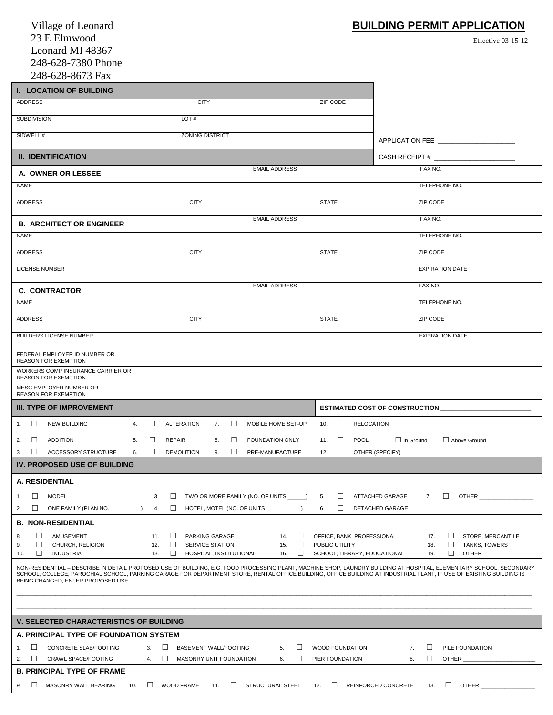| Village of Leonard                                                                                                                                                                                                                                                                                                                                                               | <b>BUILDING PERMIT APPLICATION</b>                                                              |
|----------------------------------------------------------------------------------------------------------------------------------------------------------------------------------------------------------------------------------------------------------------------------------------------------------------------------------------------------------------------------------|-------------------------------------------------------------------------------------------------|
| 23 E Elmwood                                                                                                                                                                                                                                                                                                                                                                     | <b>Effective 03-15-12</b>                                                                       |
| Leonard MI 48367                                                                                                                                                                                                                                                                                                                                                                 |                                                                                                 |
| 248-628-7380 Phone                                                                                                                                                                                                                                                                                                                                                               |                                                                                                 |
| 248-628-8673 Fax                                                                                                                                                                                                                                                                                                                                                                 |                                                                                                 |
| <b>I. LOCATION OF BUILDING</b>                                                                                                                                                                                                                                                                                                                                                   |                                                                                                 |
| ADDRESS<br><b>CITY</b><br>ZIP CODE                                                                                                                                                                                                                                                                                                                                               |                                                                                                 |
| <b>SUBDIVISION</b><br>LOT#                                                                                                                                                                                                                                                                                                                                                       |                                                                                                 |
| SIDWELL #<br><b>ZONING DISTRICT</b>                                                                                                                                                                                                                                                                                                                                              | APPLICATION FEE                                                                                 |
| <b>II. IDENTIFICATION</b>                                                                                                                                                                                                                                                                                                                                                        | CASH RECEIPT #                                                                                  |
| <b>EMAIL ADDRESS</b>                                                                                                                                                                                                                                                                                                                                                             | FAX NO.                                                                                         |
| A. OWNER OR LESSEE<br><b>NAME</b>                                                                                                                                                                                                                                                                                                                                                | TELEPHONE NO.                                                                                   |
|                                                                                                                                                                                                                                                                                                                                                                                  |                                                                                                 |
| <b>ADDRESS</b><br><b>CITY</b><br><b>STATE</b>                                                                                                                                                                                                                                                                                                                                    | <b>ZIP CODE</b>                                                                                 |
| <b>EMAIL ADDRESS</b><br><b>B. ARCHITECT OR ENGINEER</b>                                                                                                                                                                                                                                                                                                                          | FAX NO.                                                                                         |
| <b>NAME</b>                                                                                                                                                                                                                                                                                                                                                                      | TELEPHONE NO.                                                                                   |
| <b>ADDRESS</b><br><b>CITY</b><br><b>STATE</b>                                                                                                                                                                                                                                                                                                                                    | ZIP CODE                                                                                        |
| <b>LICENSE NUMBER</b>                                                                                                                                                                                                                                                                                                                                                            | <b>EXPIRATION DATE</b>                                                                          |
| <b>EMAIL ADDRESS</b><br><b>C. CONTRACTOR</b>                                                                                                                                                                                                                                                                                                                                     | FAX NO.                                                                                         |
| <b>NAME</b>                                                                                                                                                                                                                                                                                                                                                                      | TELEPHONE NO.                                                                                   |
| <b>ADDRESS</b><br><b>CITY</b><br><b>STATE</b>                                                                                                                                                                                                                                                                                                                                    | ZIP CODE                                                                                        |
| <b>BUILDERS LICENSE NUMBER</b>                                                                                                                                                                                                                                                                                                                                                   | <b>EXPIRATION DATE</b>                                                                          |
| FEDERAL EMPLOYER ID NUMBER OR                                                                                                                                                                                                                                                                                                                                                    |                                                                                                 |
| <b>REASON FOR EXEMPTION</b>                                                                                                                                                                                                                                                                                                                                                      |                                                                                                 |
| WORKERS COMP INSURANCE CARRIER OR<br><b>REASON FOR EXEMPTION</b>                                                                                                                                                                                                                                                                                                                 |                                                                                                 |
| MESC EMPLOYER NUMBER OR<br><b>REASON FOR EXEMPTION</b>                                                                                                                                                                                                                                                                                                                           |                                                                                                 |
| <b>III. TYPE OF IMPROVEMENT</b>                                                                                                                                                                                                                                                                                                                                                  | <b>ESTIMATED COST OF CONSTRUCTION</b>                                                           |
| 1. NEW BUILDING<br>$\Box$<br>$\Box$<br><b>ALTERATION</b><br>$\Box$<br>MOBILE HOME SET-UP<br>10.<br>4.<br>7.                                                                                                                                                                                                                                                                      | <b>RELOCATION</b>                                                                               |
| $\Box$<br>П<br><b>ADDITION</b><br>$\Box$<br>□<br>FOUNDATION ONLY<br>2.<br>5.<br>REPAIR<br>8.<br>11.                                                                                                                                                                                                                                                                              | $\Box$ In Ground<br>POOL<br>□ Above Ground                                                      |
| П<br><b>ACCESSORY STRUCTURE</b><br>П<br><b>DEMOLITION</b><br>9.<br>П<br>□<br>3.<br>6.<br>PRE-MANUFACTURE<br>12.                                                                                                                                                                                                                                                                  | OTHER (SPECIFY)                                                                                 |
| <b>IV. PROPOSED USE OF BUILDING</b>                                                                                                                                                                                                                                                                                                                                              |                                                                                                 |
| <b>A. RESIDENTIAL</b>                                                                                                                                                                                                                                                                                                                                                            |                                                                                                 |
| □<br>□<br>$\Box$<br><b>MODEL</b><br>3.<br>TWO OR MORE FAMILY (NO. OF UNITS ______)<br>5.<br>1.                                                                                                                                                                                                                                                                                   | □<br>ATTACHED GARAGE<br>7.<br>OTHER                                                             |
| □<br>□<br>□<br>2.<br>4.<br>6.<br>ONE FAMILY (PLAN NO. ___                                                                                                                                                                                                                                                                                                                        | DETACHED GARAGE                                                                                 |
| <b>B. NON-RESIDENTIAL</b>                                                                                                                                                                                                                                                                                                                                                        |                                                                                                 |
| □<br>AMUSEMENT<br>11.<br>□<br>PARKING GARAGE<br>14.<br>□<br>8.<br>□<br>CHURCH, RELIGION<br>□<br><b>SERVICE STATION</b><br>□<br>PUBLIC UTILITY<br>9.<br>12.<br>15.                                                                                                                                                                                                                | OFFICE, BANK, PROFESSIONAL<br>□<br>STORE, MERCANTILE<br>17.<br>□<br><b>TANKS, TOWERS</b><br>18. |
| П<br>□<br>□<br><b>INDUSTRIAL</b><br>HOSPITAL, INSTITUTIONAL<br>13.<br>16.<br>10.                                                                                                                                                                                                                                                                                                 | П<br>SCHOOL, LIBRARY, EDUCATIONAL<br><b>OTHER</b><br>19.                                        |
| NON-RESIDENTIAL - DESCRIBE IN DETAIL PROPOSED USE OF BUILDING, E.G. FOOD PROCESSING PLANT, MACHINE SHOP, LAUNDRY BUILDING AT HOSPITAL, ELEMENTARY SCHOOL, SECONDARY<br>SCHOOL, COLLEGE, PAROCHIAL SCHOOL, PARKING GARAGE FOR DEPARTMENT STORE, RENTAL OFFICE BUILDING, OFFICE BUILDING AT INDUSTRIAL PLANT, IF USE OF EXISTING BUILDING IS<br>BEING CHANGED, ENTER PROPOSED USE. |                                                                                                 |
|                                                                                                                                                                                                                                                                                                                                                                                  |                                                                                                 |
| <b>V. SELECTED CHARACTERISTICS OF BUILDING</b>                                                                                                                                                                                                                                                                                                                                   |                                                                                                 |
| A. PRINCIPAL TYPE OF FOUNDATION SYSTEM                                                                                                                                                                                                                                                                                                                                           |                                                                                                 |
| $\Box$<br>□<br>$\Box$<br>BASEMENT WALL/FOOTING<br><b>WOOD FOUNDATION</b><br>CONCRETE SLAB/FOOTING<br>3.<br>5.<br>1.                                                                                                                                                                                                                                                              | $\Box$<br>7.<br>PILE FOUNDATION                                                                 |
| $\Box$<br>2.<br>CRAWL SPACE/FOOTING<br>□<br>MASONRY UNIT FOUNDATION<br>□<br>PIER FOUNDATION<br>4.<br>6.                                                                                                                                                                                                                                                                          | 8.<br>□<br>OTHER                                                                                |
| <b>B. PRINCIPAL TYPE OF FRAME</b>                                                                                                                                                                                                                                                                                                                                                |                                                                                                 |
| $\Box$<br><b>WOOD FRAME</b><br>STRUCTURAL STEEL<br>$\Box$<br>$\Box$<br>MASONRY WALL BEARING<br>10.<br>$\Box$<br>9.<br>11.<br>12.                                                                                                                                                                                                                                                 | $\Box$<br>OTHER<br><b>REINFORCED CONCRETE</b><br>13.                                            |